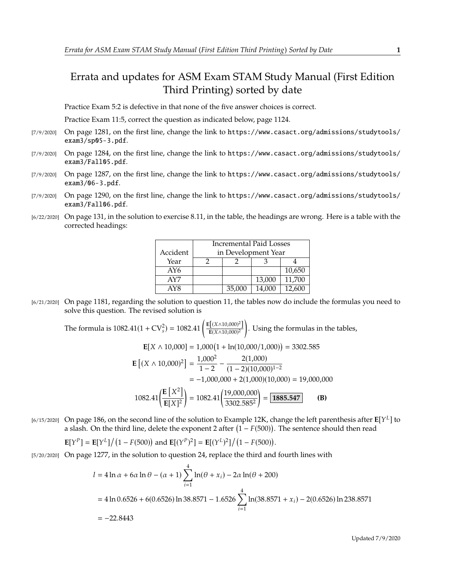## Errata and updates for ASM Exam STAM Study Manual (First Edition Third Printing) sorted by date

Practice Exam 5:2 is defective in that none of the five answer choices is correct.

Practice Exam 11:5, correct the question as indicated below, page 1124.

- [7/9/2020] On page 1281, on the first line, change the link to https://www.casact.org/admissions/studytools/ exam3/sp05-3.pdf.
- [7/9/2020] On page 1284, on the first line, change the link to https://www.casact.org/admissions/studytools/ exam3/Fall05.pdf.
- [7/9/2020] On page 1287, on the first line, change the link to https://www.casact.org/admissions/studytools/ exam3/06-3.pdf.
- [7/9/2020] On page 1290, on the first line, change the link to https://www.casact.org/admissions/studytools/ exam3/Fall06.pdf.
- [6/22/2020] On page 131, in the solution to exercise 8.11, in the table, the headings are wrong. Here is a table with the corrected headings:

|          | <b>Incremental Paid Losses</b> |        |        |        |
|----------|--------------------------------|--------|--------|--------|
| Accident | in Development Year            |        |        |        |
| Year     |                                |        |        |        |
| AY6      |                                |        |        | 10,650 |
| AY7      |                                |        | 13,000 | 11,700 |
| AY8      |                                | 35,000 | 14,000 | 12.600 |

[6/21/2020] On page 1181, regarding the solution to question 11, the tables now do include the formulas you need to solve this question. The revised solution is

The formula is  $1082.41(1 + CV_s^2) = 1082.41 \left( \frac{E[(X \land 10,000)^2]}{E(X \land 10,000)^2} \right)$  $E(X \wedge 10,000)^2$ . Using the formulas in the tables,

$$
\mathbf{E}[X \wedge 10,000] = 1,000(1 + \ln(10,000/1,000)) = 3302.585
$$
  

$$
\mathbf{E}[(X \wedge 10,000)^2] = \frac{1,000^2}{1 - 2} - \frac{2(1,000)}{(1 - 2)(10,000)^{1 - 2}}
$$
  

$$
= -1,000,000 + 2(1,000)(10,000) = 19,000,000
$$
  

$$
1082.41\left(\frac{\mathbf{E}[X^2]}{\mathbf{E}[X]^2}\right) = 1082.41\left(\frac{19,000,000}{3302.585^2}\right) = \boxed{\textbf{1885.547}}
$$
 (B)

[6/15/2020] On page 186, on the second line of the solution to Example 12K, change the left parenthesis after  $\mathbb{E}[Y^L]$  to a slash. On the third line, delete the exponent 2 after  $(1 - E(500))$ . The sentence should then r a slash. On the third line, delete the exponent 2 after  $(1 - F(500))$ . The sentence should then read

$$
\mathbf{E}[Y^P] = \mathbf{E}[Y^L]/(1 - F(500)) \text{ and } \mathbf{E}[(Y^P)^2] = \mathbf{E}[(Y^L)^2]/(1 - F(500)).
$$

[5/20/2020] On page 1277, in the solution to question 24, replace the third and fourth lines with

$$
l = 4 \ln \alpha + 6\alpha \ln \theta - (\alpha + 1) \sum_{i=1}^{4} \ln(\theta + x_i) - 2\alpha \ln(\theta + 200)
$$
  
= 4 \ln 0.6526 + 6(0.6526) \ln 38.8571 - 1.6526  $\sum_{i=1}^{4} \ln(38.8571 + x_i) - 2(0.6526) \ln 238.8571$   
= -22.8443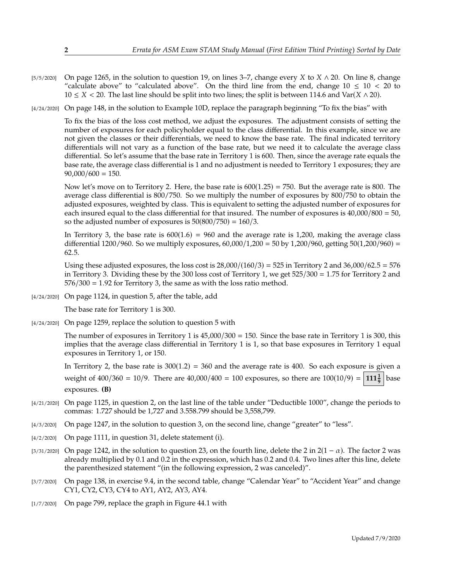- [5/5/2020] On page 1265, in the solution to question 19, on lines 3–7, change every X to  $X \wedge 20$ . On line 8, change "calculate above" to "calculated above". On the third line from the end, change  $10 \le 10 \le 20$  to  $10 \le X < 20$ . The last line should be split into two lines; the split is between 114.6 and Var( $X \wedge 20$ ).
- [4/24/2020] On page 148, in the solution to Example 10D, replace the paragraph beginning "To fix the bias" with

To fix the bias of the loss cost method, we adjust the exposures. The adjustment consists of setting the number of exposures for each policyholder equal to the class differential. In this example, since we are not given the classes or their differentials, we need to know the base rate. The final indicated territory differentials will not vary as a function of the base rate, but we need it to calculate the average class differential. So let's assume that the base rate in Territory 1 is 600. Then, since the average rate equals the base rate, the average class differential is 1 and no adjustment is needed to Territory 1 exposures; they are  $90,000/600 = 150.$ 

Now let's move on to Territory 2. Here, the base rate is  $600(1.25) = 750$ . But the average rate is 800. The average class differential is 800/750. So we multiply the number of exposures by 800/750 to obtain the adjusted exposures, weighted by class. This is equivalent to setting the adjusted number of exposures for each insured equal to the class differential for that insured. The number of exposures is <sup>40</sup>,000/<sup>800</sup> <sup>=</sup> 50, so the adjusted number of exposures is  $50(800/750) = 160/3$ .

In Territory 3, the base rate is  $600(1.6) = 960$  and the average rate is 1,200, making the average class differential 1200/960. So we multiply exposures,  $60,000/1,200 = 50$  by 1,200/960, getting  $50(1,200/960) =$ <sup>62</sup>.5.

Using these adjusted exposures, the loss cost is  $28,000/(160/3) = 525$  in Territory 2 and  $36,000/62.5 = 576$ in Territory 3. Dividing these by the 300 loss cost of Territory 1, we get <sup>525</sup>/<sup>300</sup> <sup>=</sup> <sup>1</sup>.<sup>75</sup> for Territory 2 and  $576/300 = 1.92$  for Territory 3, the same as with the loss ratio method.

[4/24/2020] On page 1124, in question 5, after the table, add

The base rate for Territory 1 is 300.

[4/24/2020] On page 1259, replace the solution to question 5 with

The number of exposures in Territory 1 is  $45,000/300 = 150$ . Since the base rate in Territory 1 is 300, this implies that the average class differential in Territory 1 is 1, so that base exposures in Territory 1 equal exposures in Territory 1, or 150.

In Territory 2, the base rate is  $300(1.2) = 360$  and the average rate is 400. So each exposure is given a weight of  $400/360 = 10/9$ . There are  $40,000/400 = 100$  exposures, so there are  $100(10/9) = 111\frac{1}{9}$  base exposures. **(B)**

- [4/21/2020] On page 1125, in question 2, on the last line of the table under "Deductible 1000", change the periods to commas: 1.727 should be 1,727 and 3.558.799 should be 3,558,799.
- [4/3/2020] On page 1247, in the solution to question 3, on the second line, change "greater" to "less".
- [4/2/2020] On page 1111, in question 31, delete statement (i).
- [3/31/2020] On page 1242, in the solution to question 23, on the fourth line, delete the 2 in  $2(1 \alpha)$ . The factor 2 was already multiplied by 0.1 and 0.2 in the expression, which has 0.2 and 0.4. Two lines after this line, delete the parenthesized statement "(in the following expression, 2 was canceled)".
- [3/7/2020] On page 138, in exercise 9.4, in the second table, change "Calendar Year" to "Accident Year" and change CY1, CY2, CY3, CY4 to AY1, AY2, AY3, AY4.
- [1/7/2020] On page 799, replace the graph in Figure 44.1 with